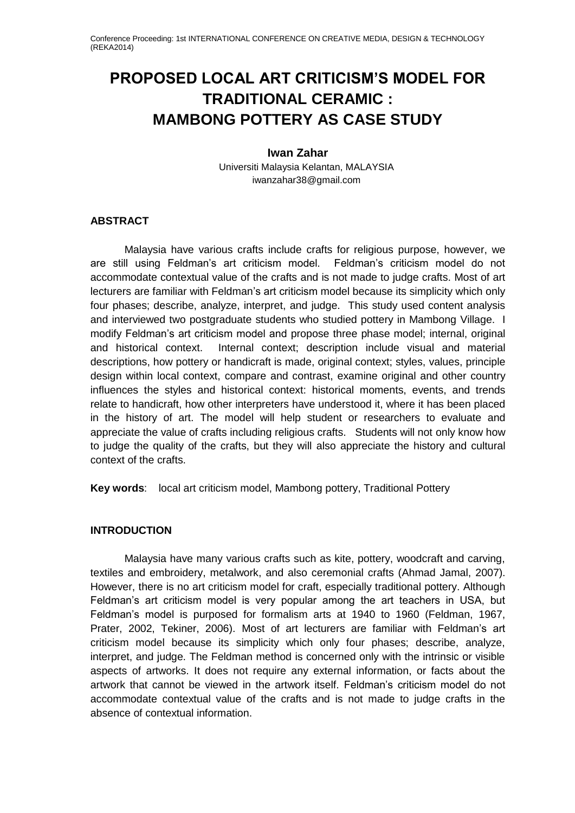# **PROPOSED LOCAL ART CRITICISM'S MODEL FOR TRADITIONAL CERAMIC : MAMBONG POTTERY AS CASE STUDY**

# **Iwan Zahar**

Universiti Malaysia Kelantan, MALAYSIA iwanzahar38@gmail.com

# **ABSTRACT**

Malaysia have various crafts include crafts for religious purpose, however, we are still using Feldman's art criticism model. Feldman's criticism model do not accommodate contextual value of the crafts and is not made to judge crafts. Most of art lecturers are familiar with Feldman's art criticism model because its simplicity which only four phases; describe, analyze, interpret, and judge. This study used content analysis and interviewed two postgraduate students who studied pottery in Mambong Village. I modify Feldman's art criticism model and propose three phase model; internal, original and historical context. Internal context; description include visual and material descriptions, how pottery or handicraft is made, original context; styles, values, principle design within local context, compare and contrast, examine original and other country influences the styles and historical context: historical moments, events, and trends relate to handicraft, how other interpreters have understood it, where it has been placed in the history of art. The model will help student or researchers to evaluate and appreciate the value of crafts including religious crafts. Students will not only know how to judge the quality of the crafts, but they will also appreciate the history and cultural context of the crafts.

**Key words**: local art criticism model, Mambong pottery, Traditional Pottery

# **INTRODUCTION**

Malaysia have many various crafts such as kite, pottery, woodcraft and carving, textiles and embroidery, metalwork, and also ceremonial crafts (Ahmad Jamal, 2007). However, there is no art criticism model for craft, especially traditional pottery. Although Feldman's art criticism model is very popular among the art teachers in USA, but Feldman's model is purposed for formalism arts at 1940 to 1960 (Feldman, 1967, Prater, 2002, Tekiner, 2006). Most of art lecturers are familiar with Feldman's art criticism model because its simplicity which only four phases; describe, analyze, interpret, and judge. The Feldman method is concerned only with the intrinsic or visible aspects of artworks. It does not require any external information, or facts about the artwork that cannot be viewed in the artwork itself. Feldman's criticism model do not accommodate contextual value of the crafts and is not made to judge crafts in the absence of contextual information.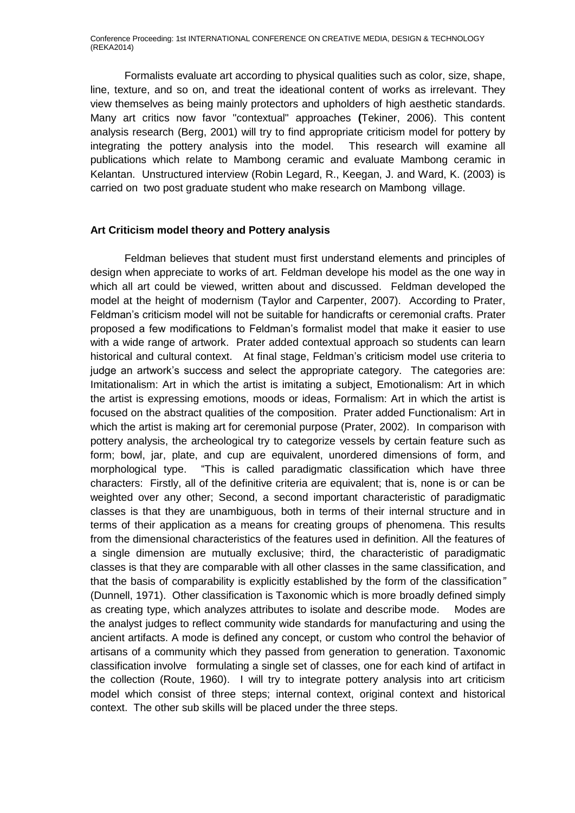Formalists evaluate art according to physical qualities such as color, size, shape, line, texture, and so on, and treat the ideational content of works as irrelevant. They view themselves as being mainly protectors and upholders of high aesthetic standards. Many art critics now favor "contextual" approaches **(**Tekiner, 2006). This content analysis research (Berg, 2001) will try to find appropriate criticism model for pottery by integrating the pottery analysis into the model. This research will examine all publications which relate to Mambong ceramic and evaluate Mambong ceramic in Kelantan. Unstructured interview (Robin Legard, R., Keegan, J. and Ward, K. (2003) is carried on two post graduate student who make research on Mambong village.

#### **Art Criticism model theory and Pottery analysis**

Feldman believes that student must first understand elements and principles of design when appreciate to works of art. Feldman develope his model as the one way in which all art could be viewed, written about and discussed. Feldman developed the model at the height of modernism (Taylor and Carpenter, 2007). According to Prater, Feldman's criticism model will not be suitable for handicrafts or ceremonial crafts. Prater proposed a few modifications to Feldman's formalist model that make it easier to use with a wide range of artwork. Prater added contextual approach so students can learn historical and cultural context. At final stage, Feldman's criticism model use criteria to judge an artwork's success and select the appropriate category. The categories are: Imitationalism: Art in which the artist is imitating a subject, Emotionalism: Art in which the artist is expressing emotions, moods or ideas, Formalism: Art in which the artist is focused on the abstract qualities of the composition. Prater added Functionalism: Art in which the artist is making art for ceremonial purpose (Prater, 2002). In comparison with pottery analysis, the archeological try to categorize vessels by certain feature such as form; bowl, jar, plate, and cup are equivalent, unordered dimensions of form, and morphological type. "This is called paradigmatic classification which have three characters: Firstly, all of the definitive criteria are equivalent; that is, none is or can be weighted over any other; Second, a second important characteristic of paradigmatic classes is that they are unambiguous, both in terms of their internal structure and in terms of their application as a means for creating groups of phenomena. This results from the dimensional characteristics of the features used in definition. All the features of a single dimension are mutually exclusive; third, the characteristic of paradigmatic classes is that they are comparable with all other classes in the same classification, and that the basis of comparability is explicitly established by the form of the classification*"* (Dunnell, 1971). Other classification is Taxonomic which is more broadly defined simply as creating type, which analyzes attributes to isolate and describe mode. Modes are the analyst judges to reflect community wide standards for manufacturing and using the ancient artifacts. A mode is defined any concept, or custom who control the behavior of artisans of a community which they passed from generation to generation. Taxonomic classification involve formulating a single set of classes, one for each kind of artifact in the collection (Route, 1960). I will try to integrate pottery analysis into art criticism model which consist of three steps; internal context, original context and historical context. The other sub skills will be placed under the three steps.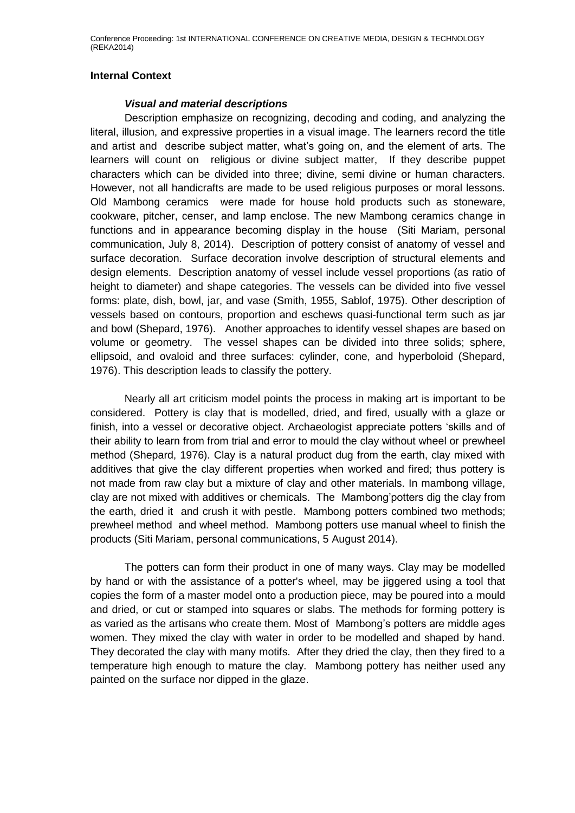# **Internal Context**

## *Visual and material descriptions*

Description emphasize on recognizing, decoding and coding, and analyzing the literal, illusion, and expressive properties in a visual image. The learners record the title and artist and describe subject matter, what's going on, and the element of arts. The learners will count on religious or divine subject matter, If they describe puppet characters which can be divided into three; divine, semi divine or human characters. However, not all handicrafts are made to be used religious purposes or moral lessons. Old Mambong ceramics were made for house hold products such as stoneware, cookware, pitcher, censer, and lamp enclose. The new Mambong ceramics change in functions and in appearance becoming display in the house (Siti Mariam, personal communication, July 8, 2014). Description of pottery consist of anatomy of vessel and surface decoration. Surface decoration involve description of structural elements and design elements. Description anatomy of vessel include vessel proportions (as ratio of height to diameter) and shape categories. The vessels can be divided into five vessel forms: plate, dish, bowl, jar, and vase (Smith, 1955, Sablof, 1975). Other description of vessels based on contours, proportion and eschews quasi-functional term such as jar and bowl (Shepard, 1976). Another approaches to identify vessel shapes are based on volume or geometry. The vessel shapes can be divided into three solids; sphere, ellipsoid, and ovaloid and three surfaces: cylinder, cone, and hyperboloid (Shepard, 1976). This description leads to classify the pottery.

Nearly all art criticism model points the process in making art is important to be considered. Pottery is clay that is modelled, dried, and fired, usually with a glaze or finish, into a vessel or decorative object. Archaeologist appreciate potters 'skills and of their ability to learn from from trial and error to mould the clay without wheel or prewheel method (Shepard, 1976). Clay is a natural product dug from the earth, clay mixed with additives that give the clay different properties when worked and fired; thus pottery is not made from raw clay but a mixture of clay and other materials. In mambong village, clay are not mixed with additives or chemicals. The Mambong'potters dig the clay from the earth, dried it and crush it with pestle. Mambong potters combined two methods; prewheel method and wheel method. Mambong potters use manual wheel to finish the products (Siti Mariam, personal communications, 5 August 2014).

The potters can form their product in one of many ways. Clay may be modelled by hand or with the assistance of a potter's wheel, may be jiggered using a tool that copies the form of a master model onto a production piece, may be poured into a mould and dried, or cut or stamped into squares or slabs. The methods for forming pottery is as varied as the artisans who create them. Most of Mambong's potters are middle ages women. They mixed the clay with water in order to be modelled and shaped by hand. They decorated the clay with many motifs. After they dried the clay, then they fired to a temperature high enough to mature the clay. Mambong pottery has neither used any painted on the surface nor dipped in the glaze.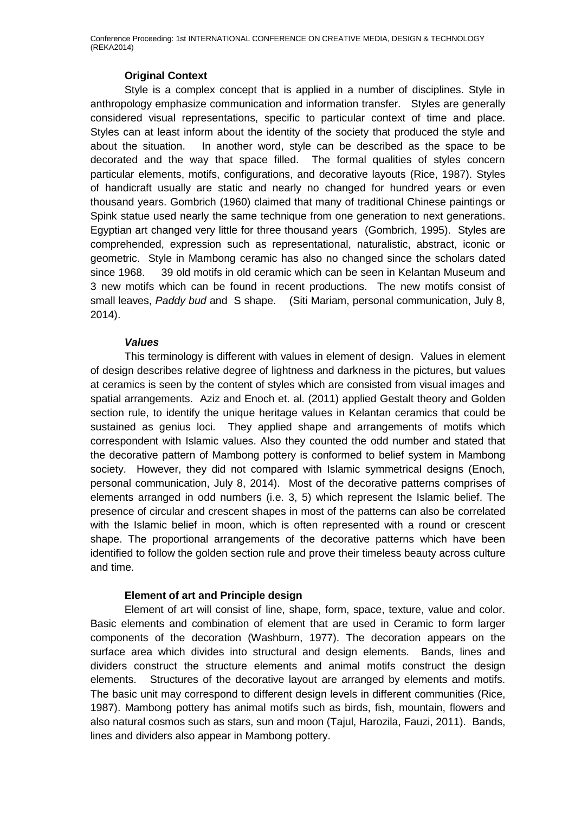# **Original Context**

Style is a complex concept that is applied in a number of disciplines. Style in anthropology emphasize communication and information transfer. Styles are generally considered visual representations, specific to particular context of time and place. Styles can at least inform about the identity of the society that produced the style and about the situation. In another word, style can be described as the space to be decorated and the way that space filled. The formal qualities of styles concern particular elements, motifs, configurations, and decorative layouts (Rice, 1987). Styles of handicraft usually are static and nearly no changed for hundred years or even thousand years. Gombrich (1960) claimed that many of traditional Chinese paintings or Spink statue used nearly the same technique from one generation to next generations. Egyptian art changed very little for three thousand years (Gombrich, 1995). Styles are comprehended, expression such as representational, naturalistic, abstract, iconic or geometric. Style in Mambong ceramic has also no changed since the scholars dated since 1968. 39 old motifs in old ceramic which can be seen in Kelantan Museum and 3 new motifs which can be found in recent productions. The new motifs consist of small leaves, *Paddy bud* and S shape. (Siti Mariam, personal communication, July 8, 2014).

# *Values*

This terminology is different with values in element of design. Values in element of design describes relative degree of lightness and darkness in the pictures, but values at ceramics is seen by the content of styles which are consisted from visual images and spatial arrangements. Aziz and Enoch et. al. (2011) applied Gestalt theory and Golden section rule, to identify the unique heritage values in Kelantan ceramics that could be sustained as genius loci. They applied shape and arrangements of motifs which correspondent with Islamic values. Also they counted the odd number and stated that the decorative pattern of Mambong pottery is conformed to belief system in Mambong society. However, they did not compared with Islamic symmetrical designs (Enoch, personal communication, July 8, 2014). Most of the decorative patterns comprises of elements arranged in odd numbers (i.e. 3, 5) which represent the Islamic belief. The presence of circular and crescent shapes in most of the patterns can also be correlated with the Islamic belief in moon, which is often represented with a round or crescent shape. The proportional arrangements of the decorative patterns which have been identified to follow the golden section rule and prove their timeless beauty across culture and time.

# **Element of art and Principle design**

Element of art will consist of line, shape, form, space, texture, value and color. Basic elements and combination of element that are used in Ceramic to form larger components of the decoration (Washburn, 1977). The decoration appears on the surface area which divides into structural and design elements. Bands, lines and dividers construct the structure elements and animal motifs construct the design elements. Structures of the decorative layout are arranged by elements and motifs. The basic unit may correspond to different design levels in different communities (Rice, 1987). Mambong pottery has animal motifs such as birds, fish, mountain, flowers and also natural cosmos such as stars, sun and moon (Tajul, Harozila, Fauzi, 2011). Bands, lines and dividers also appear in Mambong pottery.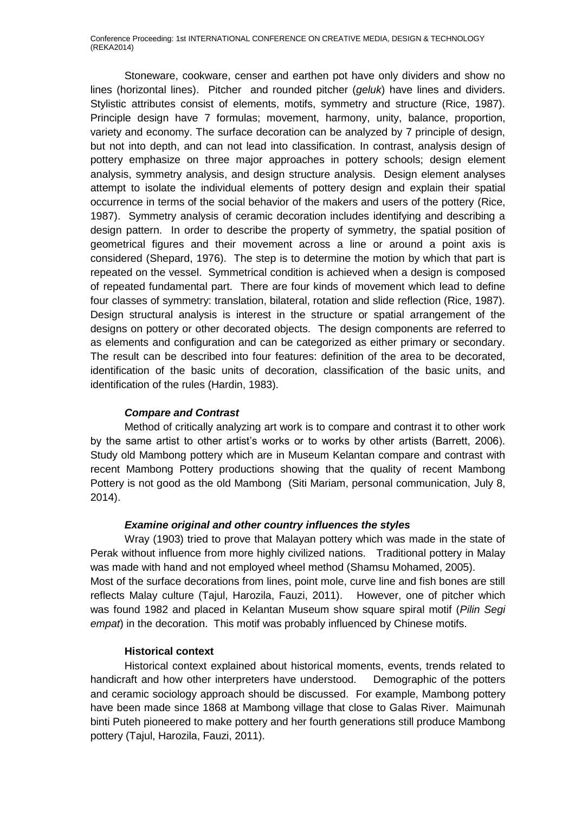Stoneware, cookware, censer and earthen pot have only dividers and show no lines (horizontal lines). Pitcher and rounded pitcher (*geluk*) have lines and dividers. Stylistic attributes consist of elements, motifs, symmetry and structure (Rice, 1987). Principle design have 7 formulas; movement, harmony, unity, balance, proportion, variety and economy. The surface decoration can be analyzed by 7 principle of design, but not into depth, and can not lead into classification. In contrast, analysis design of pottery emphasize on three major approaches in pottery schools; design element analysis, symmetry analysis, and design structure analysis. Design element analyses attempt to isolate the individual elements of pottery design and explain their spatial occurrence in terms of the social behavior of the makers and users of the pottery (Rice, 1987). Symmetry analysis of ceramic decoration includes identifying and describing a design pattern. In order to describe the property of symmetry, the spatial position of geometrical figures and their movement across a line or around a point axis is considered (Shepard, 1976). The step is to determine the motion by which that part is repeated on the vessel. Symmetrical condition is achieved when a design is composed of repeated fundamental part. There are four kinds of movement which lead to define four classes of symmetry: translation, bilateral, rotation and slide reflection (Rice, 1987). Design structural analysis is interest in the structure or spatial arrangement of the designs on pottery or other decorated objects. The design components are referred to as elements and configuration and can be categorized as either primary or secondary. The result can be described into four features: definition of the area to be decorated, identification of the basic units of decoration, classification of the basic units, and identification of the rules (Hardin, 1983).

# *Compare and Contrast*

Method of critically analyzing art work is to compare and contrast it to other work by the same artist to other artist's works or to works by other artists (Barrett, 2006). Study old Mambong pottery which are in Museum Kelantan compare and contrast with recent Mambong Pottery productions showing that the quality of recent Mambong Pottery is not good as the old Mambong (Siti Mariam, personal communication, July 8, 2014).

#### *Examine original and other country influences the styles*

Wray (1903) tried to prove that Malayan pottery which was made in the state of Perak without influence from more highly civilized nations. Traditional pottery in Malay was made with hand and not employed wheel method (Shamsu Mohamed, 2005). Most of the surface decorations from lines, point mole, curve line and fish bones are still reflects Malay culture (Tajul, Harozila, Fauzi, 2011). However, one of pitcher which was found 1982 and placed in Kelantan Museum show square spiral motif (*Pilin Segi empat*) in the decoration. This motif was probably influenced by Chinese motifs.

#### **Historical context**

Historical context explained about historical moments, events, trends related to handicraft and how other interpreters have understood. Demographic of the potters and ceramic sociology approach should be discussed. For example, Mambong pottery have been made since 1868 at Mambong village that close to Galas River. Maimunah binti Puteh pioneered to make pottery and her fourth generations still produce Mambong pottery (Tajul, Harozila, Fauzi, 2011).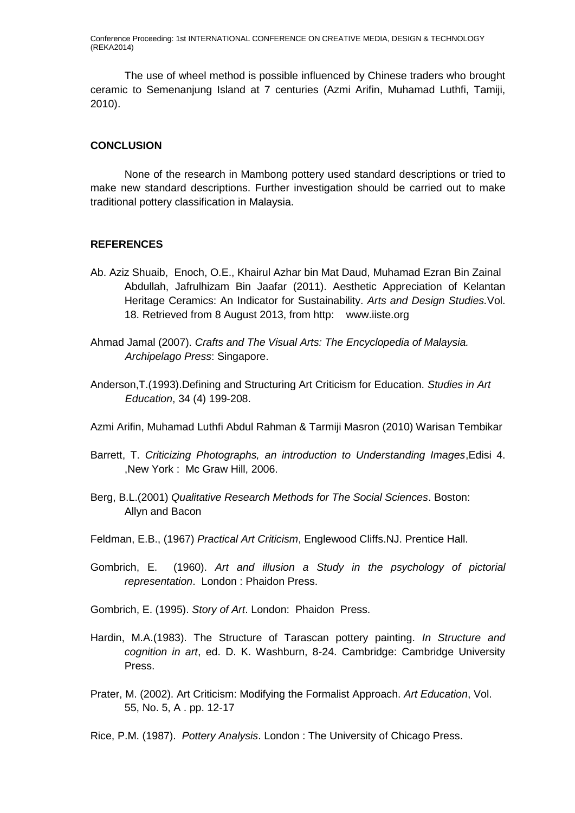The use of wheel method is possible influenced by Chinese traders who brought ceramic to Semenanjung Island at 7 centuries (Azmi Arifin, Muhamad Luthfi, Tamiji, 2010).

#### **CONCLUSION**

None of the research in Mambong pottery used standard descriptions or tried to make new standard descriptions. Further investigation should be carried out to make traditional pottery classification in Malaysia.

#### **REFERENCES**

- Ab. Aziz Shuaib, Enoch, O.E., Khairul Azhar bin Mat Daud, Muhamad Ezran Bin Zainal Abdullah, Jafrulhizam Bin Jaafar (2011). Aesthetic Appreciation of Kelantan Heritage Ceramics: An Indicator for Sustainability. *Arts and Design Studies.*Vol. 18. Retrieved from 8 August 2013, from http: www.iiste.org
- Ahmad Jamal (2007). *Crafts and The Visual Arts: The Encyclopedia of Malaysia. Archipelago Press*: Singapore.
- Anderson,T.(1993).Defining and Structuring Art Criticism for Education. *Studies in Art Education*, 34 (4) 199-208.
- Azmi Arifin, Muhamad Luthfi Abdul Rahman & Tarmiji Masron (2010) Warisan Tembikar
- Barrett, T. *Criticizing Photographs, an introduction to Understanding Images*,Edisi 4. ,New York : Mc Graw Hill, 2006.
- Berg, B.L.(2001) *Qualitative Research Methods for The Social Sciences*. Boston: Allyn and Bacon
- Feldman, E.B., (1967) *Practical Art Criticism*, Englewood Cliffs.NJ. Prentice Hall.
- Gombrich, E. (1960). *Art and illusion a Study in the psychology of pictorial representation*. London : Phaidon Press.
- Gombrich, E. (1995). *Story of Art*. London: Phaidon Press.
- Hardin, M.A.(1983). The Structure of Tarascan pottery painting. *In Structure and cognition in art*, ed. D. K. Washburn, 8-24. Cambridge: Cambridge University Press.
- Prater, M. (2002). Art Criticism: Modifying the Formalist Approach. *Art Education*, Vol. 55, No. 5, A . pp. 12-17

Rice, P.M. (1987). *Pottery Analysis*. London : The University of Chicago Press.